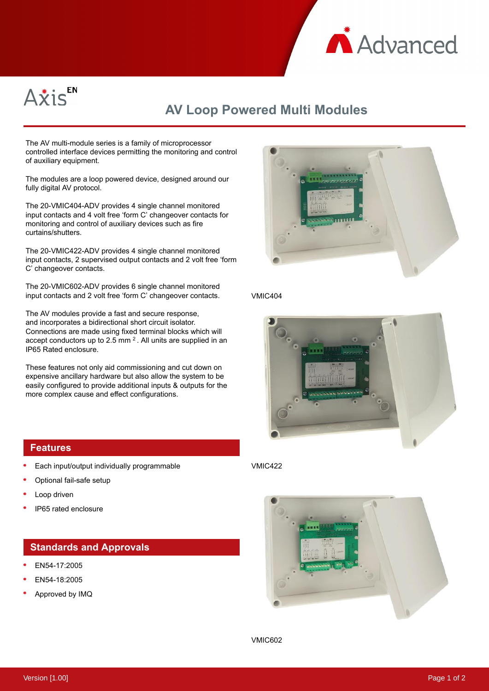



## **AV Loop Powered Multi Modules**

The AV multi-module series is a family of microprocessor controlled interface devices permitting the monitoring and control of auxiliary equipment.

The modules are a loop powered device, designed around our fully digital AV protocol.

The 20-VMIC404-ADV provides 4 single channel monitored input contacts and 4 volt free 'form C' changeover contacts for monitoring and control of auxiliary devices such as fire curtains/shutters.

The 20-VMIC422-ADV provides 4 single channel monitored input contacts, 2 supervised output contacts and 2 volt free 'form C' changeover contacts.

The 20-VMIC602-ADV provides 6 single channel monitored input contacts and 2 volt free 'form C' changeover contacts.

The AV modules provide a fast and secure response, and incorporates a bidirectional short circuit isolator. Connections are made using fixed terminal blocks which will accept conductors up to 2.5 mm  $^2$ . All units are supplied in an IP65 Rated enclosure.

These features not only aid commissioning and cut down on expensive ancillary hardware but also allow the system to be easily configured to provide additional inputs & outputs for the more complex cause and effect configurations.



- Each input/output individually programmable
- Optional fail-safe setup
- Loop driven
- IP65 rated enclosure

## **Standards and Approvals**

- EN54-17:2005
- EN54-18:2005
- Approved by IMQ



## VMIC404



## VMIC422



VMIC602